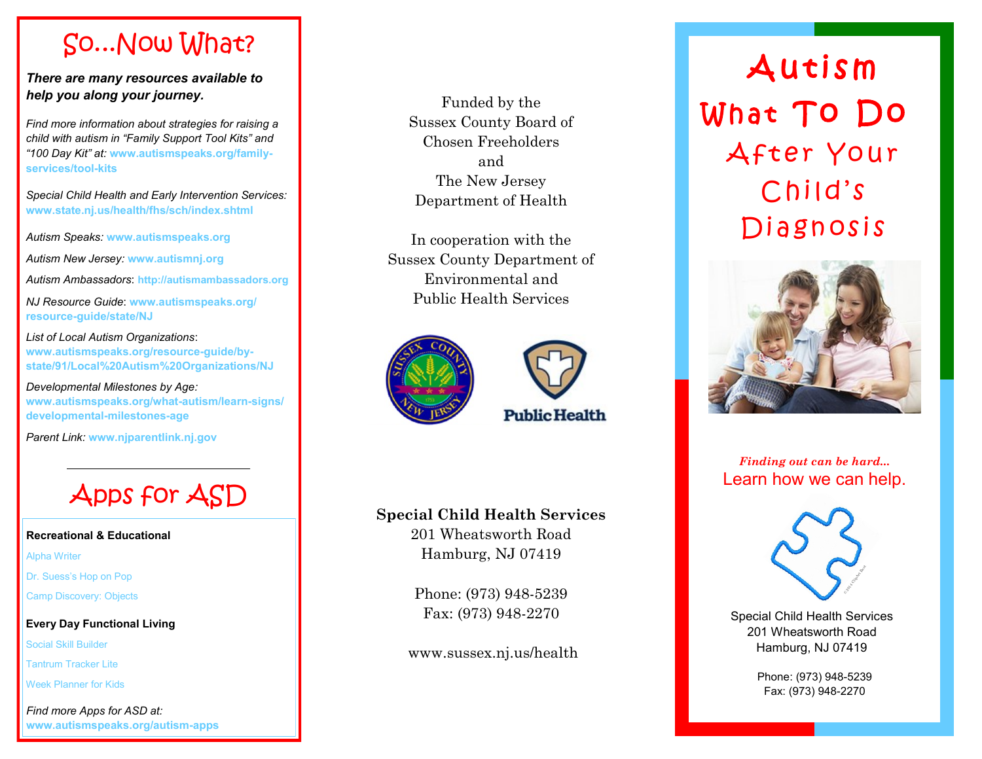# So...Now What?

*There are many resources available to help you along your journey.*

*Find more information about strategies for raising a child with autism in "Family Support Tool Kits" and "100 Day Kit" at:* **[www.autismspeaks.org/family](http://www.autismspeaks.org/family-services/tool-kits/family-support-tool-kits#parents) [services/tool](http://www.autismspeaks.org/family-services/tool-kits/family-support-tool-kits#parents) -kits**

*Special Child Health and Early Intervention Services:*  **www.state.nj.us/health/fhs/sch/index.shtml**

*Autism Speaks:* **www.autismspeaks.org**

*Autism New Jersey:* **www.autismnj.org**

*Autism Ambassadors*: **http://autismambassadors.org**

*NJ Resource Guide*: **www.autismspeaks.org/ resource -guide/state/NJ**

*List of Local Autism Organizations*: **www.autismspeaks.org/resource -guide/by state/91/Local%20Autism%20Organizations/NJ**

*Developmental Milestones by Age:*  **www.autismspeaks.org/what -autism/learn -signs/ developmental -milestones -age**

*Parent Link:* **www.njparentlink.nj.gov**



### **Recreational & Educational**

Alpha Writer

Dr. Suess's Hop on Pop

Camp Discovery: Objects

### **Every Day Functional Living**

Social Skill Builder

Tantrum Tracker Lite

Week Planner for Kids

*Find more Apps for ASD at:*  **www.autismspeaks.org/autism -apps**

Funded by the Sussex County Board of Chosen Freeholders and The New Jersey Department of Health

In cooperation with the Sussex County Department of Environmental and Public Health Services





### **Special Child Health Services**

201 Wheatsworth Road Hamburg, NJ 07419

Phone: (973) 948 -5239 Fax: (973) 948 -2270

www.sussex.nj.us/health

# **Autism** What To Do After Your Child's Diagnosis



*Finding out can be hard...* Learn how we can help.



Special Child Health Services 201 Wheatsworth Road Vial Child Health Server<br>The Wheatsworth Road<br>Hamburg, NJ 07419

> Phone: (973) 948 -5239 Fax: (973) 948 -2270